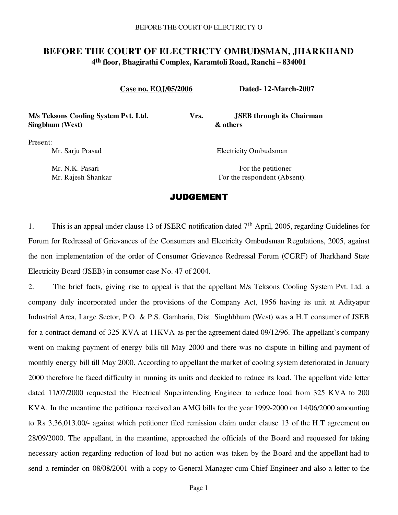# **BEFORE THE COURT OF ELECTRICTY OMBUDSMAN, JHARKHAND 4th floor, Bhagirathi Complex, Karamtoli Road, Ranchi – 834001**

 **Case no. EOJ/05/2006 Dated- 12-March-2007**

**M/s Teksons Cooling System Pvt. Ltd. Vrs. JSEB through its Chairman Singbhum (West) & others**

Present:

Mr. Sarju Prasad Electricity Ombudsman

Mr. N.K. Pasari For the petitioner Mr. Rajesh Shankar For the respondent (Absent).

## JUDGEMENT

1. This is an appeal under clause 13 of JSERC notification dated  $7<sup>th</sup>$  April, 2005, regarding Guidelines for Forum for Redressal of Grievances of the Consumers and Electricity Ombudsman Regulations, 2005, against the non implementation of the order of Consumer Grievance Redressal Forum (CGRF) of Jharkhand State Electricity Board (JSEB) in consumer case No. 47 of 2004.

2. The brief facts, giving rise to appeal is that the appellant M/s Teksons Cooling System Pvt. Ltd. a company duly incorporated under the provisions of the Company Act, 1956 having its unit at Adityapur Industrial Area, Large Sector, P.O. & P.S. Gamharia, Dist. Singhbhum (West) was a H.T consumer of JSEB for a contract demand of 325 KVA at 11KVA as per the agreement dated 09/12/96. The appellant's company went on making payment of energy bills till May 2000 and there was no dispute in billing and payment of monthly energy bill till May 2000. According to appellant the market of cooling system deteriorated in January 2000 therefore he faced difficulty in running its units and decided to reduce its load. The appellant vide letter dated 11/07/2000 requested the Electrical Superintending Engineer to reduce load from 325 KVA to 200 KVA. In the meantime the petitioner received an AMG bills for the year 1999-2000 on 14/06/2000 amounting to Rs 3,36,013.00/- against which petitioner filed remission claim under clause 13 of the H.T agreement on 28/09/2000. The appellant, in the meantime, approached the officials of the Board and requested for taking necessary action regarding reduction of load but no action was taken by the Board and the appellant had to send a reminder on 08/08/2001 with a copy to General Manager-cum-Chief Engineer and also a letter to the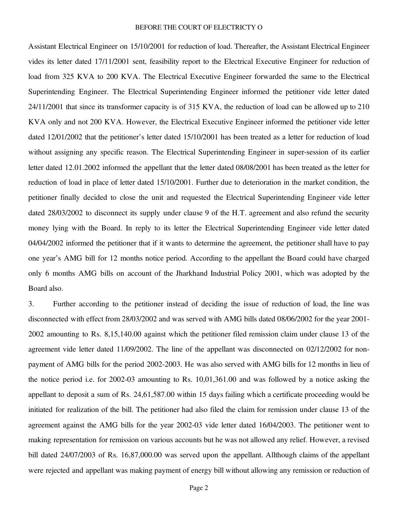#### BEFORE THE COURT OF ELECTRICTY O

Assistant Electrical Engineer on 15/10/2001 for reduction of load. Thereafter, the Assistant Electrical Engineer vides its letter dated 17/11/2001 sent, feasibility report to the Electrical Executive Engineer for reduction of load from 325 KVA to 200 KVA. The Electrical Executive Engineer forwarded the same to the Electrical Superintending Engineer. The Electrical Superintending Engineer informed the petitioner vide letter dated 24/11/2001 that since its transformer capacity is of 315 KVA, the reduction of load can be allowed up to 210 KVA only and not 200 KVA. However, the Electrical Executive Engineer informed the petitioner vide letter dated 12/01/2002 that the petitioner's letter dated 15/10/2001 has been treated as a letter for reduction of load without assigning any specific reason. The Electrical Superintending Engineer in super-session of its earlier letter dated 12.01.2002 informed the appellant that the letter dated 08/08/2001 has been treated as the letter for reduction of load in place of letter dated 15/10/2001. Further due to deterioration in the market condition, the petitioner finally decided to close the unit and requested the Electrical Superintending Engineer vide letter dated 28/03/2002 to disconnect its supply under clause 9 of the H.T. agreement and also refund the security money lying with the Board. In reply to its letter the Electrical Superintending Engineer vide letter dated 04/04/2002 informed the petitioner that if it wants to determine the agreement, the petitioner shall have to pay one year's AMG bill for 12 months notice period. According to the appellant the Board could have charged only 6 months AMG bills on account of the Jharkhand Industrial Policy 2001, which was adopted by the Board also.

3. Further according to the petitioner instead of deciding the issue of reduction of load, the line was disconnected with effect from 28/03/2002 and was served with AMG bills dated 08/06/2002 for the year 2001- 2002 amounting to Rs. 8,15,140.00 against which the petitioner filed remission claim under clause 13 of the agreement vide letter dated 11/09/2002. The line of the appellant was disconnected on 02/12/2002 for nonpayment of AMG bills for the period 2002-2003. He was also served with AMG bills for 12 months in lieu of the notice period i.e. for 2002-03 amounting to Rs. 10,01,361.00 and was followed by a notice asking the appellant to deposit a sum of Rs. 24,61,587.00 within 15 days failing which a certificate proceeding would be initiated for realization of the bill. The petitioner had also filed the claim for remission under clause 13 of the agreement against the AMG bills for the year 2002-03 vide letter dated 16/04/2003. The petitioner went to making representation for remission on various accounts but he was not allowed any relief. However, a revised bill dated 24/07/2003 of Rs. 16,87,000.00 was served upon the appellant. Allthough claims of the appellant were rejected and appellant was making payment of energy bill without allowing any remission or reduction of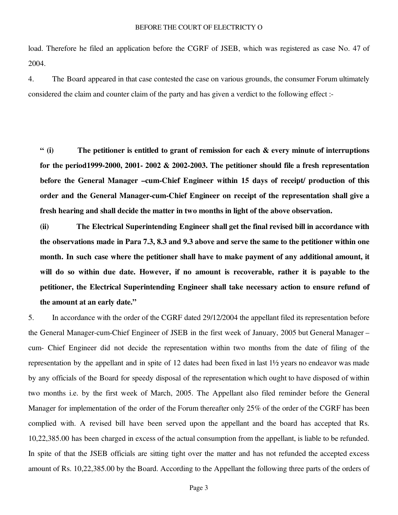load. Therefore he filed an application before the CGRF of JSEB, which was registered as case No. 47 of 2004.

4. The Board appeared in that case contested the case on various grounds, the consumer Forum ultimately considered the claim and counter claim of the party and has given a verdict to the following effect :-

**" (i) The petitioner is entitled to grant of remission for each & every minute of interruptions for the period1999-2000, 2001- 2002 & 2002-2003. The petitioner should file a fresh representation before the General Manager –cum-Chief Engineer within 15 days of receipt/ production of this order and the General Manager-cum-Chief Engineer on receipt of the representation shall give a fresh hearing and shall decide the matter in two months in light of the above observation.**

**(ii) The Electrical Superintending Engineer shall get the final revised bill in accordance with the observations made in Para 7.3, 8.3 and 9.3 above and serve the same to the petitioner within one month. In such case where the petitioner shall have to make payment of any additional amount, it will do so within due date. However, if no amount is recoverable, rather it is payable to the petitioner, the Electrical Superintending Engineer shall take necessary action to ensure refund of the amount at an early date."** 

5. In accordance with the order of the CGRF dated 29/12/2004 the appellant filed its representation before the General Manager-cum-Chief Engineer of JSEB in the first week of January, 2005 but General Manager – cum- Chief Engineer did not decide the representation within two months from the date of filing of the representation by the appellant and in spite of 12 dates had been fixed in last 1½ years no endeavor was made by any officials of the Board for speedy disposal of the representation which ought to have disposed of within two months i.e. by the first week of March, 2005. The Appellant also filed reminder before the General Manager for implementation of the order of the Forum thereafter only 25% of the order of the CGRF has been complied with. A revised bill have been served upon the appellant and the board has accepted that Rs. 10,22,385.00 has been charged in excess of the actual consumption from the appellant, is liable to be refunded. In spite of that the JSEB officials are sitting tight over the matter and has not refunded the accepted excess amount of Rs. 10,22,385.00 by the Board. According to the Appellant the following three parts of the orders of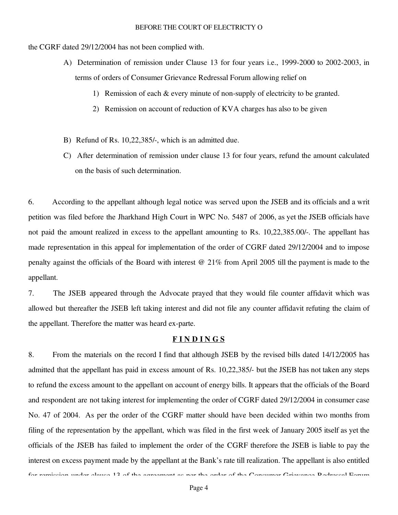the CGRF dated 29/12/2004 has not been complied with.

- A) Determination of remission under Clause 13 for four years i.e., 1999-2000 to 2002-2003, in terms of orders of Consumer Grievance Redressal Forum allowing relief on
	- 1) Remission of each & every minute of non-supply of electricity to be granted.
	- 2) Remission on account of reduction of KVA charges has also to be given
- B) Refund of Rs. 10,22,385/-, which is an admitted due.
- C) After determination of remission under clause 13 for four years, refund the amount calculated on the basis of such determination.

6. According to the appellant although legal notice was served upon the JSEB and its officials and a writ petition was filed before the Jharkhand High Court in WPC No. 5487 of 2006, as yet the JSEB officials have not paid the amount realized in excess to the appellant amounting to Rs. 10,22,385.00/-. The appellant has made representation in this appeal for implementation of the order of CGRF dated 29/12/2004 and to impose penalty against the officials of the Board with interest @ 21% from April 2005 till the payment is made to the appellant.

7. The JSEB appeared through the Advocate prayed that they would file counter affidavit which was allowed but thereafter the JSEB left taking interest and did not file any counter affidavit refuting the claim of the appellant. Therefore the matter was heard ex-parte.

### **F I N D I N G S**

8. From the materials on the record I find that although JSEB by the revised bills dated 14/12/2005 has admitted that the appellant has paid in excess amount of Rs. 10,22,385/- but the JSEB has not taken any steps to refund the excess amount to the appellant on account of energy bills. It appears that the officials of the Board and respondent are not taking interest for implementing the order of CGRF dated 29/12/2004 in consumer case No. 47 of 2004. As per the order of the CGRF matter should have been decided within two months from filing of the representation by the appellant, which was filed in the first week of January 2005 itself as yet the officials of the JSEB has failed to implement the order of the CGRF therefore the JSEB is liable to pay the interest on excess payment made by the appellant at the Bank's rate till realization. The appellant is also entitled for remission under clause 12 of the agreement as per the order of the Consumer Grievance Dedressel Forum